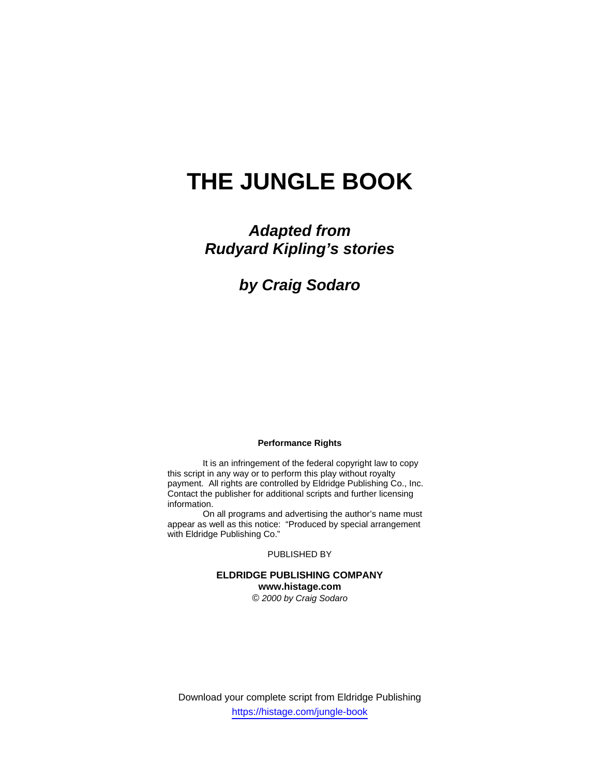# **THE JUNGLE BOOK**

## *Adapted from Rudyard Kipling's stories*

*by Craig Sodaro* 

### **Performance Rights**

 It is an infringement of the federal copyright law to copy this script in any way or to perform this play without royalty payment. All rights are controlled by Eldridge Publishing Co., Inc. Contact the publisher for additional scripts and further licensing information.

 On all programs and advertising the author's name must appear as well as this notice: "Produced by special arrangement with Eldridge Publishing Co."

PUBLISHED BY

## **ELDRIDGE PUBLISHING COMPANY www.histage.com**

*© 2000 by Craig Sodaro*

Download your complete script from Eldridge Publishing https://histage.com/jungle-book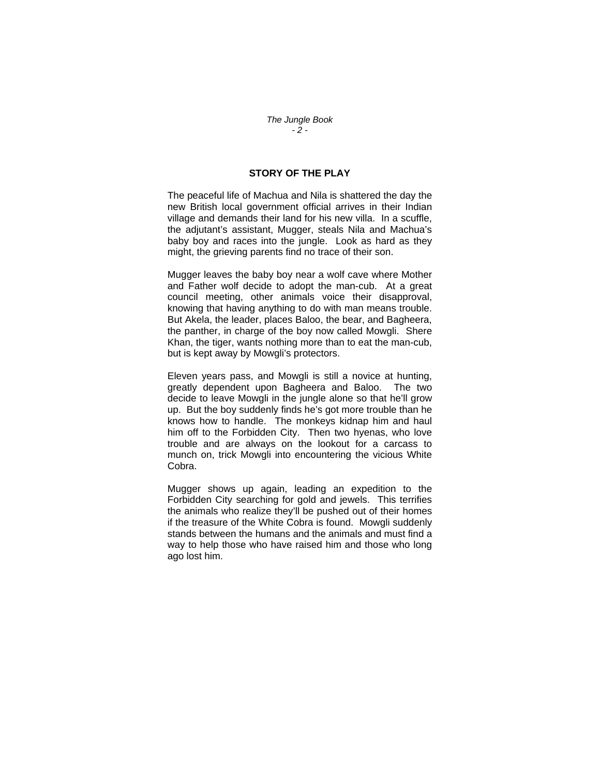#### *The Jungle Book - 2 -*

## **STORY OF THE PLAY**

The peaceful life of Machua and Nila is shattered the day the new British local government official arrives in their Indian village and demands their land for his new villa. In a scuffle, the adjutant's assistant, Mugger, steals Nila and Machua's baby boy and races into the jungle. Look as hard as they might, the grieving parents find no trace of their son.

Mugger leaves the baby boy near a wolf cave where Mother and Father wolf decide to adopt the man-cub. At a great council meeting, other animals voice their disapproval, knowing that having anything to do with man means trouble. But Akela, the leader, places Baloo, the bear, and Bagheera, the panther, in charge of the boy now called Mowgli. Shere Khan, the tiger, wants nothing more than to eat the man-cub, but is kept away by Mowgli's protectors.

Eleven years pass, and Mowgli is still a novice at hunting, greatly dependent upon Bagheera and Baloo. The two decide to leave Mowgli in the jungle alone so that he'll grow up. But the boy suddenly finds he's got more trouble than he knows how to handle. The monkeys kidnap him and haul him off to the Forbidden City. Then two hyenas, who love trouble and are always on the lookout for a carcass to munch on, trick Mowgli into encountering the vicious White Cobra.

Mugger shows up again, leading an expedition to the Forbidden City searching for gold and jewels. This terrifies the animals who realize they'll be pushed out of their homes if the treasure of the White Cobra is found. Mowgli suddenly stands between the humans and the animals and must find a way to help those who have raised him and those who long ago lost him.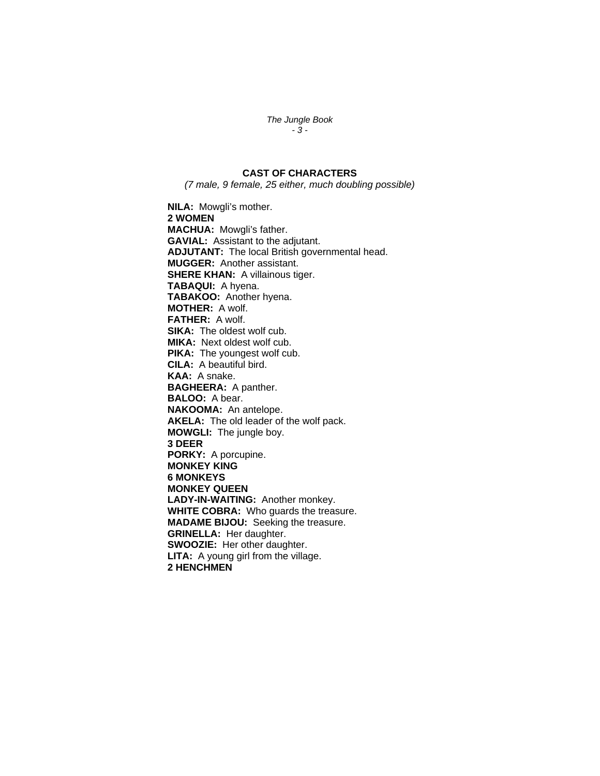*The Jungle Book - 3 -* 

## **CAST OF CHARACTERS**

*(7 male, 9 female, 25 either, much doubling possible)* 

**NILA:** Mowgli's mother. **2 WOMEN MACHUA:** Mowgli's father. **GAVIAL:** Assistant to the adjutant. **ADJUTANT:** The local British governmental head. **MUGGER:** Another assistant. **SHERE KHAN:** A villainous tiger. **TABAQUI:** A hyena. **TABAKOO:** Another hyena. **MOTHER:** A wolf. **FATHER:** A wolf. **SIKA:** The oldest wolf cub. **MIKA:** Next oldest wolf cub. **PIKA:** The youngest wolf cub. **CILA:** A beautiful bird. **KAA:** A snake. **BAGHEERA:** A panther. **BALOO:** A bear. **NAKOOMA:** An antelope. **AKELA:** The old leader of the wolf pack. **MOWGLI:** The jungle boy. **3 DEER PORKY:** A porcupine. **MONKEY KING 6 MONKEYS MONKEY QUEEN LADY-IN-WAITING:** Another monkey. **WHITE COBRA:** Who guards the treasure. **MADAME BIJOU:** Seeking the treasure. **GRINELLA:** Her daughter. **SWOOZIE:** Her other daughter. **LITA:** A young girl from the village. **2 HENCHMEN**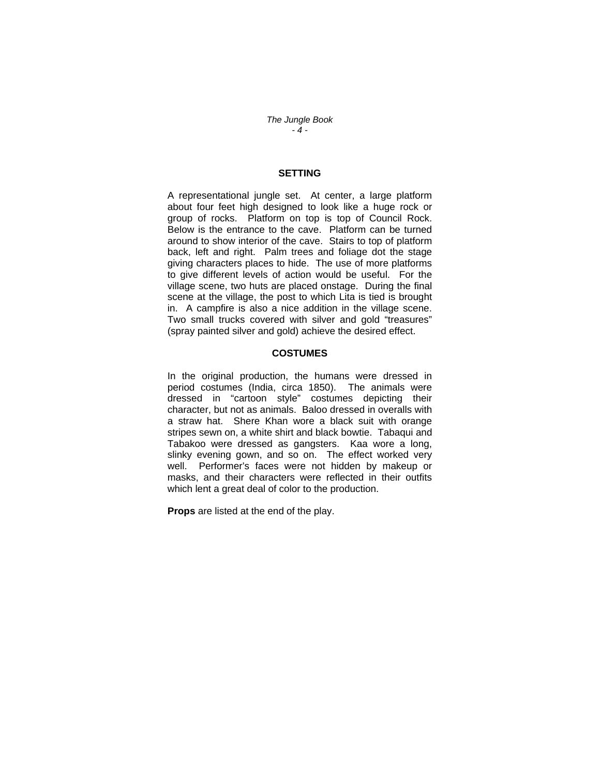*The Jungle Book - 4 -* 

## **SETTING**

A representational jungle set. At center, a large platform about four feet high designed to look like a huge rock or group of rocks. Platform on top is top of Council Rock. Below is the entrance to the cave. Platform can be turned around to show interior of the cave. Stairs to top of platform back, left and right. Palm trees and foliage dot the stage giving characters places to hide. The use of more platforms to give different levels of action would be useful. For the village scene, two huts are placed onstage. During the final scene at the village, the post to which Lita is tied is brought in. A campfire is also a nice addition in the village scene. Two small trucks covered with silver and gold "treasures" (spray painted silver and gold) achieve the desired effect.

#### **COSTUMES**

In the original production, the humans were dressed in period costumes (India, circa 1850). The animals were dressed in "cartoon style" costumes depicting their character, but not as animals. Baloo dressed in overalls with a straw hat. Shere Khan wore a black suit with orange stripes sewn on, a white shirt and black bowtie. Tabaqui and Tabakoo were dressed as gangsters. Kaa wore a long, slinky evening gown, and so on. The effect worked very well. Performer's faces were not hidden by makeup or masks, and their characters were reflected in their outfits which lent a great deal of color to the production.

**Props** are listed at the end of the play.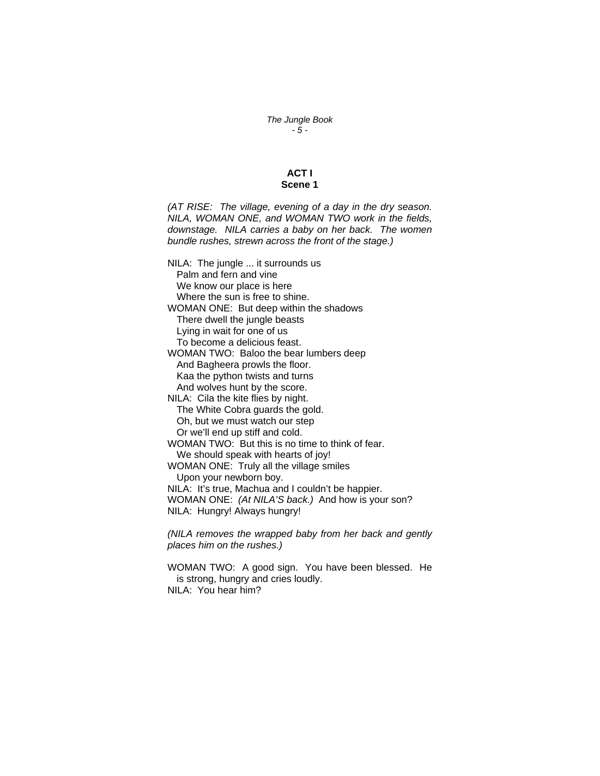*The Jungle Book - 5 -* 

## **ACT I Scene 1**

*(AT RISE: The village, evening of a day in the dry season. NILA, WOMAN ONE, and WOMAN TWO work in the fields, downstage. NILA carries a baby on her back. The women bundle rushes, strewn across the front of the stage.)* 

NILA: The jungle ... it surrounds us Palm and fern and vine We know our place is here Where the sun is free to shine. WOMAN ONE: But deep within the shadows There dwell the jungle beasts Lying in wait for one of us To become a delicious feast. WOMAN TWO: Baloo the bear lumbers deep And Bagheera prowls the floor. Kaa the python twists and turns And wolves hunt by the score. NILA: Cila the kite flies by night. The White Cobra guards the gold. Oh, but we must watch our step Or we'll end up stiff and cold. WOMAN TWO: But this is no time to think of fear. We should speak with hearts of joy! WOMAN ONE: Truly all the village smiles Upon your newborn boy. NILA: It's true, Machua and I couldn't be happier. WOMAN ONE: *(At NILA'S back.)* And how is your son? NILA: Hungry! Always hungry! *(NILA removes the wrapped baby from her back and gently* 

*places him on the rushes.)* 

WOMAN TWO: A good sign. You have been blessed. He is strong, hungry and cries loudly. NILA: You hear him?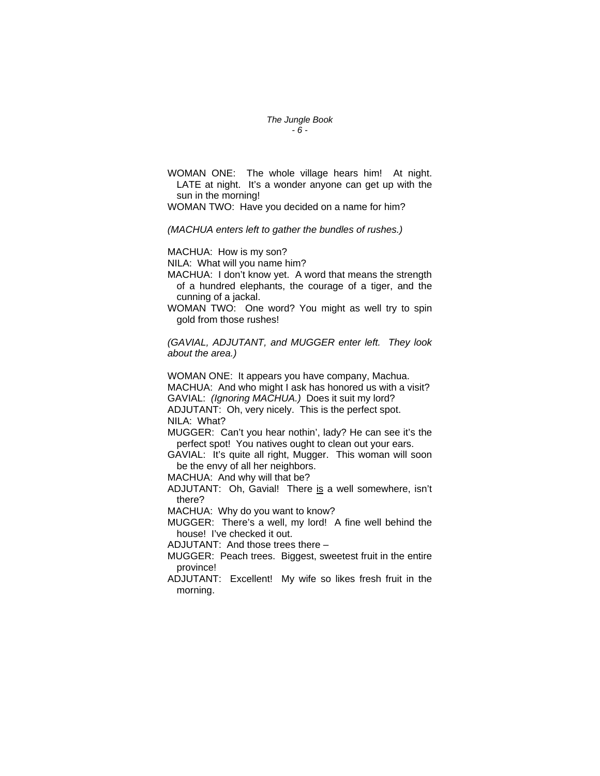#### *The Jungle Book - 6 -*

WOMAN ONE: The whole village hears him! At night. LATE at night. It's a wonder anyone can get up with the sun in the morning!

WOMAN TWO: Have you decided on a name for him?

*(MACHUA enters left to gather the bundles of rushes.)* 

MACHUA: How is my son?

NILA: What will you name him?

MACHUA: I don't know yet. A word that means the strength of a hundred elephants, the courage of a tiger, and the cunning of a jackal.

WOMAN TWO: One word? You might as well try to spin gold from those rushes!

*(GAVIAL, ADJUTANT, and MUGGER enter left. They look about the area.)* 

WOMAN ONE: It appears you have company, Machua. MACHUA: And who might I ask has honored us with a visit? GAVIAL: *(Ignoring MACHUA.)* Does it suit my lord? ADJUTANT: Oh, very nicely. This is the perfect spot.

NILA: What?

MUGGER: Can't you hear nothin', lady? He can see it's the perfect spot! You natives ought to clean out your ears.

GAVIAL: It's quite all right, Mugger. This woman will soon be the envy of all her neighbors.

MACHUA: And why will that be?

ADJUTANT: Oh, Gavial! There is a well somewhere, isn't there?

MACHUA: Why do you want to know?

MUGGER: There's a well, my lord! A fine well behind the house! I've checked it out.

ADJUTANT: And those trees there –

MUGGER: Peach trees. Biggest, sweetest fruit in the entire province!

ADJUTANT: Excellent! My wife so likes fresh fruit in the morning.